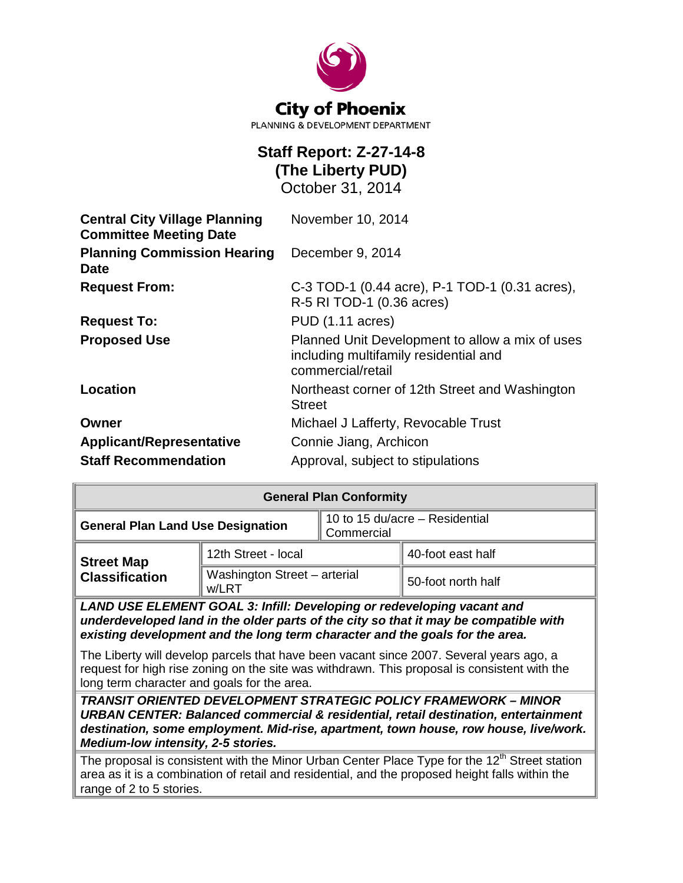

# **Staff Report: Z-27-14-8 (The Liberty PUD)**

October 31, 2014

| <b>Central City Village Planning</b><br><b>Committee Meeting Date</b> | November 10, 2014                                                                                             |  |
|-----------------------------------------------------------------------|---------------------------------------------------------------------------------------------------------------|--|
| <b>Planning Commission Hearing</b><br>Date                            | December 9, 2014                                                                                              |  |
| <b>Request From:</b>                                                  | C-3 TOD-1 (0.44 acre), P-1 TOD-1 (0.31 acres),                                                                |  |
|                                                                       | R-5 RI TOD-1 (0.36 acres)                                                                                     |  |
| <b>Request To:</b>                                                    | PUD (1.11 acres)                                                                                              |  |
| <b>Proposed Use</b>                                                   | Planned Unit Development to allow a mix of uses<br>including multifamily residential and<br>commercial/retail |  |
| Location                                                              | Northeast corner of 12th Street and Washington<br><b>Street</b>                                               |  |
| Owner                                                                 | Michael J Lafferty, Revocable Trust                                                                           |  |
| <b>Applicant/Representative</b>                                       | Connie Jiang, Archicon                                                                                        |  |
| <b>Staff Recommendation</b>                                           | Approval, subject to stipulations                                                                             |  |

| <b>General Plan Conformity</b>                                                                                                                                                                                                                 |                                       |                                              |                    |  |
|------------------------------------------------------------------------------------------------------------------------------------------------------------------------------------------------------------------------------------------------|---------------------------------------|----------------------------------------------|--------------------|--|
| <b>General Plan Land Use Designation</b>                                                                                                                                                                                                       |                                       | 10 to 15 du/acre - Residential<br>Commercial |                    |  |
| <b>Street Map</b>                                                                                                                                                                                                                              | 12th Street - local                   |                                              | 40-foot east half  |  |
| <b>Classification</b>                                                                                                                                                                                                                          | Washington Street - arterial<br>w/LRT |                                              | 50-foot north half |  |
| LAND USE ELEMENT GOAL 3: Infill: Developing or redeveloping vacant and<br>underdeveloped land in the older parts of the city so that it may be compatible with<br>existing development and the long term character and the goals for the area. |                                       |                                              |                    |  |

The Liberty will develop parcels that have been vacant since 2007. Several years ago, a request for high rise zoning on the site was withdrawn. This proposal is consistent with the long term character and goals for the area.

*TRANSIT ORIENTED DEVELOPMENT STRATEGIC POLICY FRAMEWORK – MINOR URBAN CENTER: Balanced commercial & residential, retail destination, entertainment destination, some employment. Mid-rise, apartment, town house, row house, live/work. Medium-low intensity, 2-5 stories.*

The proposal is consistent with the Minor Urban Center Place Type for the  $12<sup>th</sup>$  Street station area as it is a combination of retail and residential, and the proposed height falls within the range of 2 to 5 stories.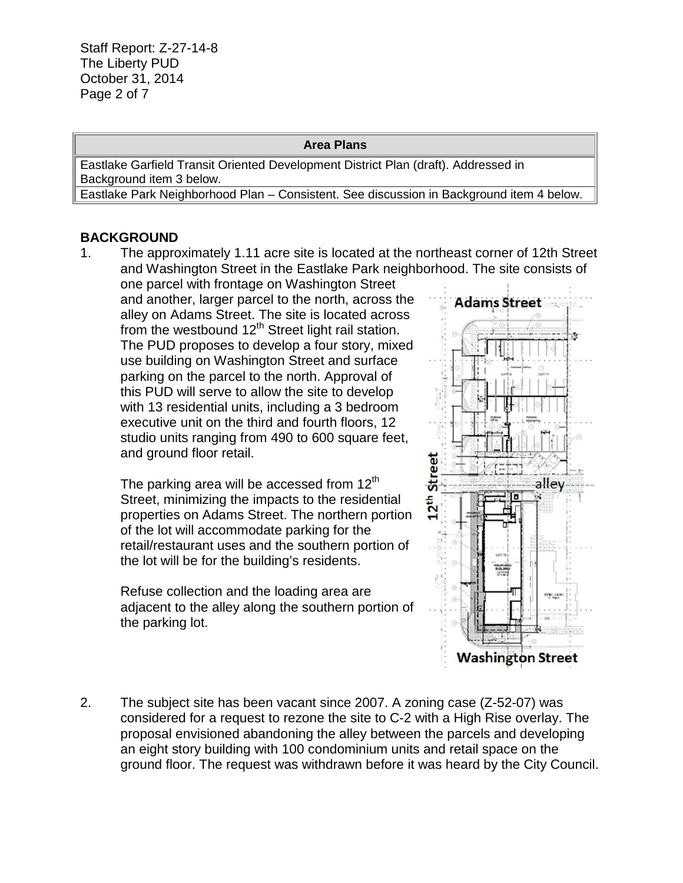Staff Report: Z-27-14-8 The Liberty PUD October 31, 2014 Page 2 of 7

#### **Area Plans**

Eastlake Garfield Transit Oriented Development District Plan (draft). Addressed in Background item 3 below.

Eastlake Park Neighborhood Plan – Consistent. See discussion in Background item 4 below.

#### **BACKGROUND**

1. The approximately 1.11 acre site is located at the northeast corner of 12th Street and Washington Street in the Eastlake Park neighborhood. The site consists of

one parcel with frontage on Washington Street and another, larger parcel to the north, across the alley on Adams Street. The site is located across from the westbound  $12<sup>th</sup>$  Street light rail station. The PUD proposes to develop a four story, mixed use building on Washington Street and surface parking on the parcel to the north. Approval of this PUD will serve to allow the site to develop with 13 residential units, including a 3 bedroom executive unit on the third and fourth floors, 12 studio units ranging from 490 to 600 square feet, and ground floor retail.

The parking area will be accessed from  $12<sup>th</sup>$ Street, minimizing the impacts to the residential properties on Adams Street. The northern portion of the lot will accommodate parking for the retail/restaurant uses and the southern portion of the lot will be for the building's residents.

Refuse collection and the loading area are adjacent to the alley along the southern portion of the parking lot.



2. The subject site has been vacant since 2007. A zoning case (Z-52-07) was considered for a request to rezone the site to C-2 with a High Rise overlay. The proposal envisioned abandoning the alley between the parcels and developing an eight story building with 100 condominium units and retail space on the ground floor. The request was withdrawn before it was heard by the City Council.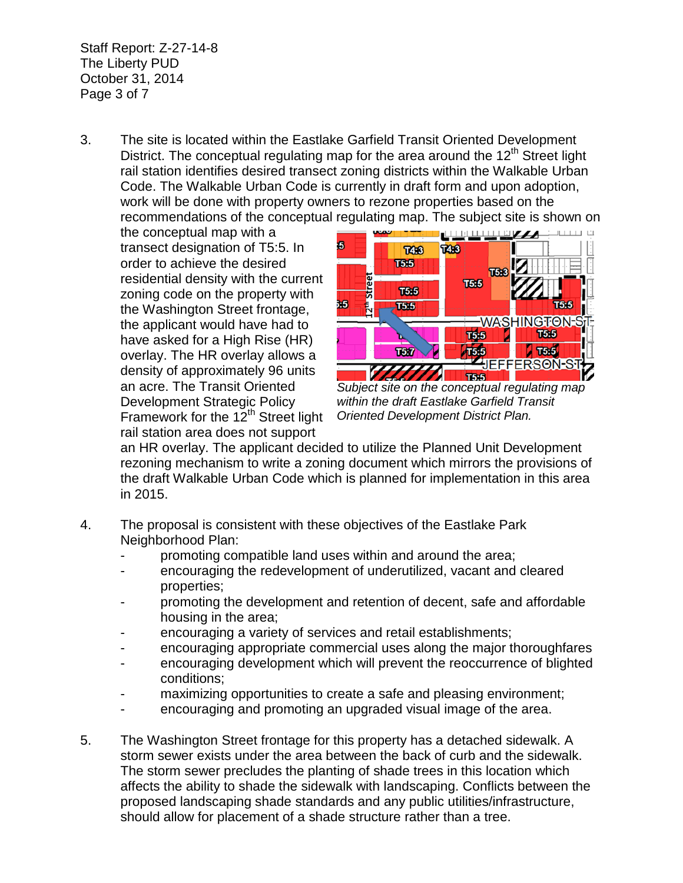Staff Report: Z-27-14-8 The Liberty PUD October 31, 2014 Page 3 of 7

3. The site is located within the Eastlake Garfield Transit Oriented Development District. The conceptual regulating map for the area around the  $12<sup>th</sup>$  Street light rail station identifies desired transect zoning districts within the Walkable Urban Code. The Walkable Urban Code is currently in draft form and upon adoption, work will be done with property owners to rezone properties based on the

recommendations of the conceptual regulating map. The subject site is shown on<br>the conceptual map with a the conceptual map with a transect designation of T5:5. In order to achieve the desired residential density with the current zoning code on the property with the Washington Street frontage, the applicant would have had to have asked for a High Rise (HR) overlay. The HR overlay allows a density of approximately 96 units an acre. The Transit Oriented Development Strategic Policy Framework for the 12<sup>th</sup> Street light rail station area does not support



*Subject site on the conceptual regulating map within the draft Eastlake Garfield Transit Oriented Development District Plan.* 

an HR overlay. The applicant decided to utilize the Planned Unit Development rezoning mechanism to write a zoning document which mirrors the provisions of the draft Walkable Urban Code which is planned for implementation in this area in 2015.

- 4. The proposal is consistent with these objectives of the Eastlake Park Neighborhood Plan:
	- promoting compatible land uses within and around the area;
	- encouraging the redevelopment of underutilized, vacant and cleared properties;
	- promoting the development and retention of decent, safe and affordable housing in the area;
	- encouraging a variety of services and retail establishments;
	- encouraging appropriate commercial uses along the major thoroughfares
	- encouraging development which will prevent the reoccurrence of blighted conditions;
	- maximizing opportunities to create a safe and pleasing environment;
	- encouraging and promoting an upgraded visual image of the area.
- 5. The Washington Street frontage for this property has a detached sidewalk. A storm sewer exists under the area between the back of curb and the sidewalk. The storm sewer precludes the planting of shade trees in this location which affects the ability to shade the sidewalk with landscaping. Conflicts between the proposed landscaping shade standards and any public utilities/infrastructure, should allow for placement of a shade structure rather than a tree.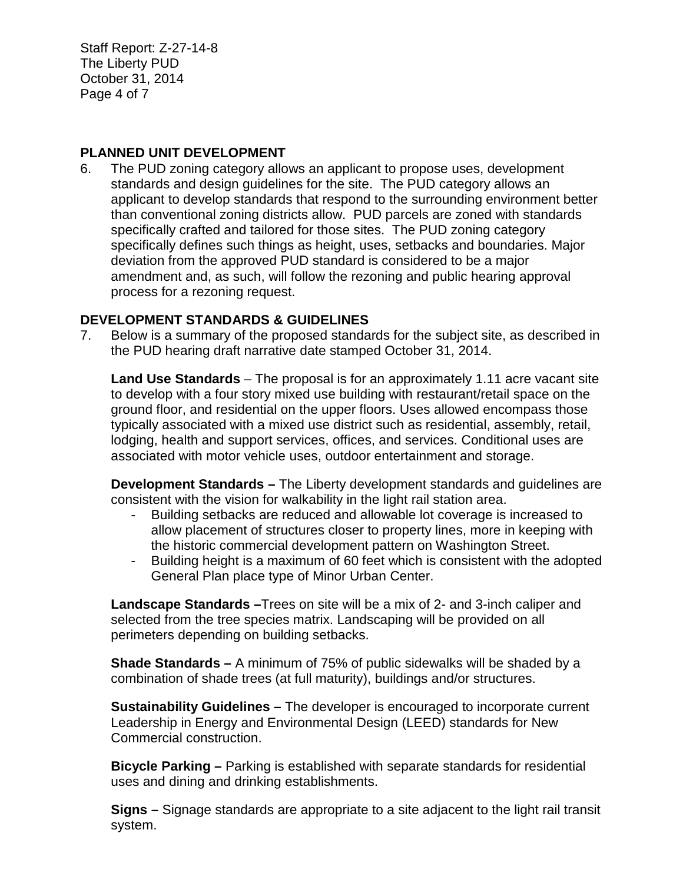Staff Report: Z-27-14-8 The Liberty PUD October 31, 2014 Page 4 of 7

#### **PLANNED UNIT DEVELOPMENT**

6. The PUD zoning category allows an applicant to propose uses, development standards and design guidelines for the site. The PUD category allows an applicant to develop standards that respond to the surrounding environment better than conventional zoning districts allow. PUD parcels are zoned with standards specifically crafted and tailored for those sites. The PUD zoning category specifically defines such things as height, uses, setbacks and boundaries. Major deviation from the approved PUD standard is considered to be a major amendment and, as such, will follow the rezoning and public hearing approval process for a rezoning request.

#### **DEVELOPMENT STANDARDS & GUIDELINES**

7. Below is a summary of the proposed standards for the subject site, as described in the PUD hearing draft narrative date stamped October 31, 2014.

**Land Use Standards** – The proposal is for an approximately 1.11 acre vacant site to develop with a four story mixed use building with restaurant/retail space on the ground floor, and residential on the upper floors. Uses allowed encompass those typically associated with a mixed use district such as residential, assembly, retail, lodging, health and support services, offices, and services. Conditional uses are associated with motor vehicle uses, outdoor entertainment and storage.

**Development Standards –** The Liberty development standards and guidelines are consistent with the vision for walkability in the light rail station area.

- Building setbacks are reduced and allowable lot coverage is increased to allow placement of structures closer to property lines, more in keeping with the historic commercial development pattern on Washington Street.
- Building height is a maximum of 60 feet which is consistent with the adopted General Plan place type of Minor Urban Center.

**Landscape Standards –**Trees on site will be a mix of 2- and 3-inch caliper and selected from the tree species matrix. Landscaping will be provided on all perimeters depending on building setbacks.

**Shade Standards –** A minimum of 75% of public sidewalks will be shaded by a combination of shade trees (at full maturity), buildings and/or structures.

**Sustainability Guidelines –** The developer is encouraged to incorporate current Leadership in Energy and Environmental Design (LEED) standards for New Commercial construction.

**Bicycle Parking –** Parking is established with separate standards for residential uses and dining and drinking establishments.

**Signs –** Signage standards are appropriate to a site adjacent to the light rail transit system.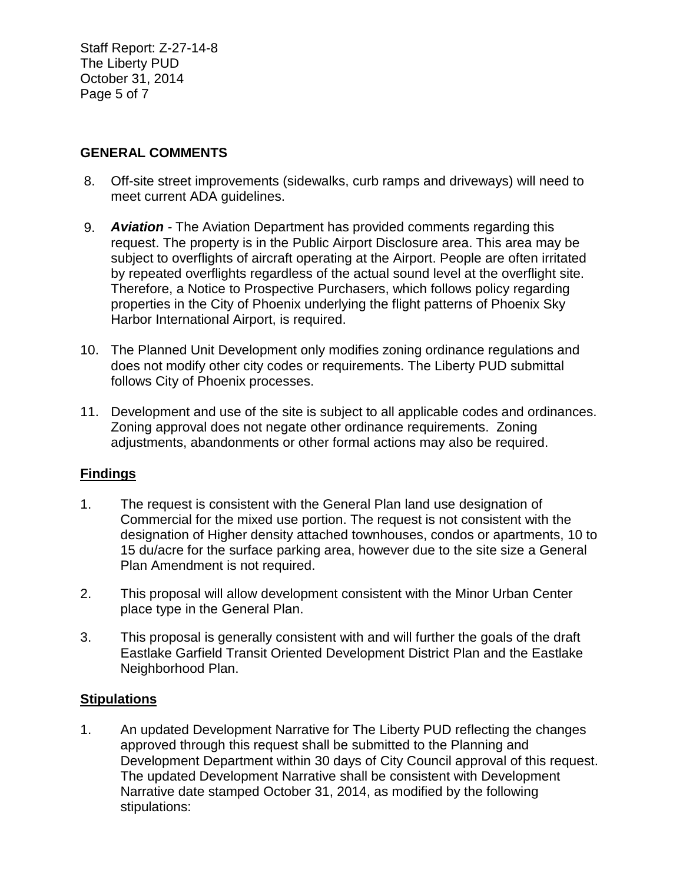Staff Report: Z-27-14-8 The Liberty PUD October 31, 2014 Page 5 of 7

### **GENERAL COMMENTS**

- 8. Off-site street improvements (sidewalks, curb ramps and driveways) will need to meet current ADA guidelines.
- 9. *Aviation -* The Aviation Department has provided comments regarding this request. The property is in the Public Airport Disclosure area. This area may be subject to overflights of aircraft operating at the Airport. People are often irritated by repeated overflights regardless of the actual sound level at the overflight site. Therefore, a Notice to Prospective Purchasers, which follows policy regarding properties in the City of Phoenix underlying the flight patterns of Phoenix Sky Harbor International Airport, is required.
- 10. The Planned Unit Development only modifies zoning ordinance regulations and does not modify other city codes or requirements. The Liberty PUD submittal follows City of Phoenix processes.
- 11. Development and use of the site is subject to all applicable codes and ordinances. Zoning approval does not negate other ordinance requirements. Zoning adjustments, abandonments or other formal actions may also be required.

## **Findings**

- 1. The request is consistent with the General Plan land use designation of Commercial for the mixed use portion. The request is not consistent with the designation of Higher density attached townhouses, condos or apartments, 10 to 15 du/acre for the surface parking area, however due to the site size a General Plan Amendment is not required.
- 2. This proposal will allow development consistent with the Minor Urban Center place type in the General Plan.
- 3. This proposal is generally consistent with and will further the goals of the draft Eastlake Garfield Transit Oriented Development District Plan and the Eastlake Neighborhood Plan.

### **Stipulations**

1. An updated Development Narrative for The Liberty PUD reflecting the changes approved through this request shall be submitted to the Planning and Development Department within 30 days of City Council approval of this request. The updated Development Narrative shall be consistent with Development Narrative date stamped October 31, 2014, as modified by the following stipulations: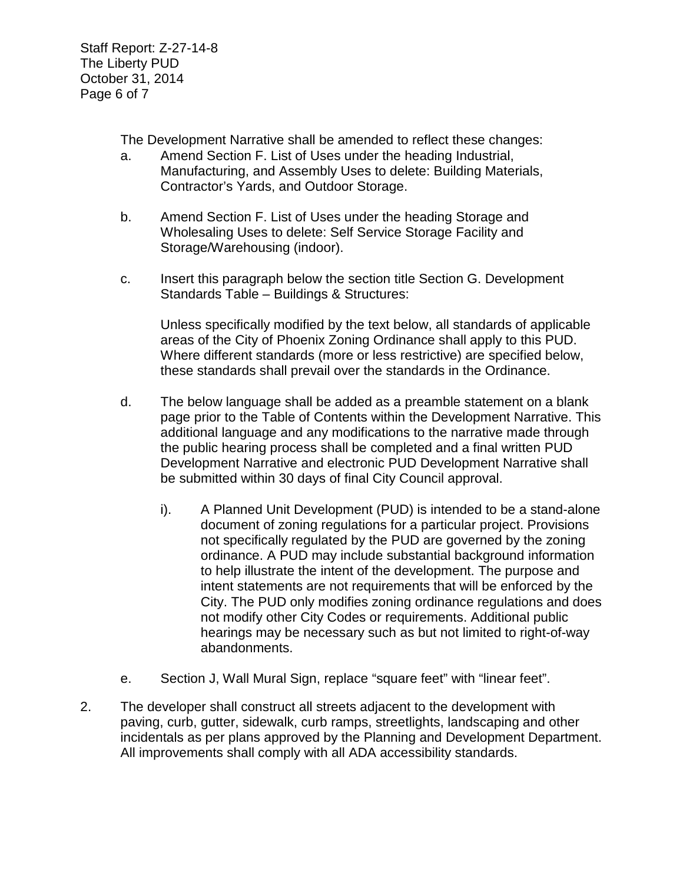Staff Report: Z-27-14-8 The Liberty PUD October 31, 2014 Page 6 of 7

The Development Narrative shall be amended to reflect these changes:

- a. Amend Section F. List of Uses under the heading Industrial, Manufacturing, and Assembly Uses to delete: Building Materials, Contractor's Yards, and Outdoor Storage.
- b. Amend Section F. List of Uses under the heading Storage and Wholesaling Uses to delete: Self Service Storage Facility and Storage/Warehousing (indoor).
- c. Insert this paragraph below the section title Section G. Development Standards Table – Buildings & Structures:

Unless specifically modified by the text below, all standards of applicable areas of the City of Phoenix Zoning Ordinance shall apply to this PUD. Where different standards (more or less restrictive) are specified below, these standards shall prevail over the standards in the Ordinance.

- d. The below language shall be added as a preamble statement on a blank page prior to the Table of Contents within the Development Narrative. This additional language and any modifications to the narrative made through the public hearing process shall be completed and a final written PUD Development Narrative and electronic PUD Development Narrative shall be submitted within 30 days of final City Council approval.
	- i). A Planned Unit Development (PUD) is intended to be a stand-alone document of zoning regulations for a particular project. Provisions not specifically regulated by the PUD are governed by the zoning ordinance. A PUD may include substantial background information to help illustrate the intent of the development. The purpose and intent statements are not requirements that will be enforced by the City. The PUD only modifies zoning ordinance regulations and does not modify other City Codes or requirements. Additional public hearings may be necessary such as but not limited to right-of-way abandonments.
- e. Section J, Wall Mural Sign, replace "square feet" with "linear feet".
- 2. The developer shall construct all streets adjacent to the development with paving, curb, gutter, sidewalk, curb ramps, streetlights, landscaping and other incidentals as per plans approved by the Planning and Development Department. All improvements shall comply with all ADA accessibility standards.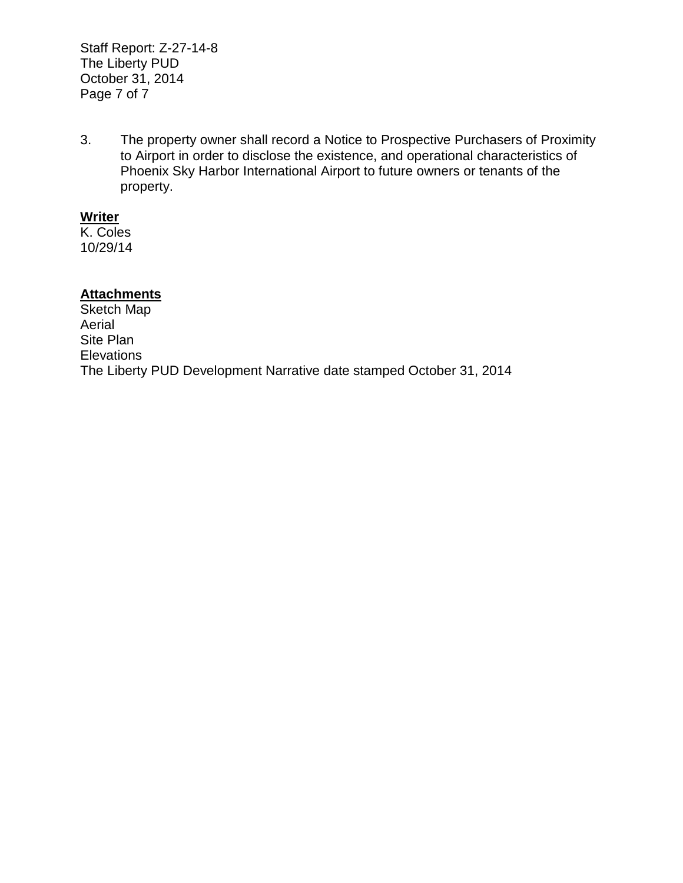Staff Report: Z-27-14-8 The Liberty PUD October 31, 2014 Page 7 of 7

3. The property owner shall record a Notice to Prospective Purchasers of Proximity to Airport in order to disclose the existence, and operational characteristics of Phoenix Sky Harbor International Airport to future owners or tenants of the property.

#### **Writer**

K. Coles 10/29/14

### **Attachments**

Sketch Map Aerial Site Plan **Elevations** The Liberty PUD Development Narrative date stamped October 31, 2014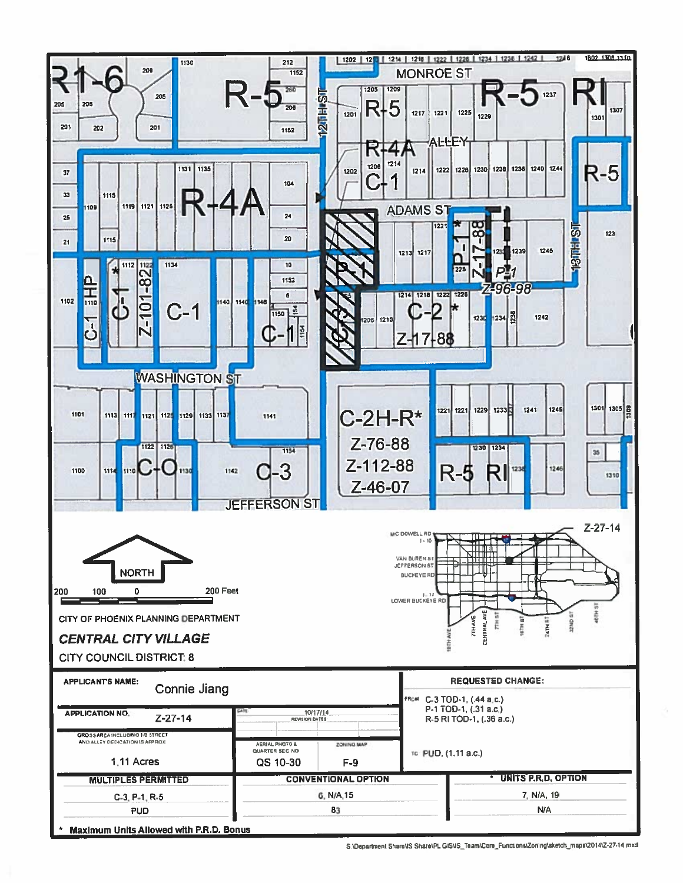

S.\Department Share\VS Share\PL GIS\IS\_Team\Core\_Functions\Zoning\sketch\_maps\2014\Z-27-14.mxd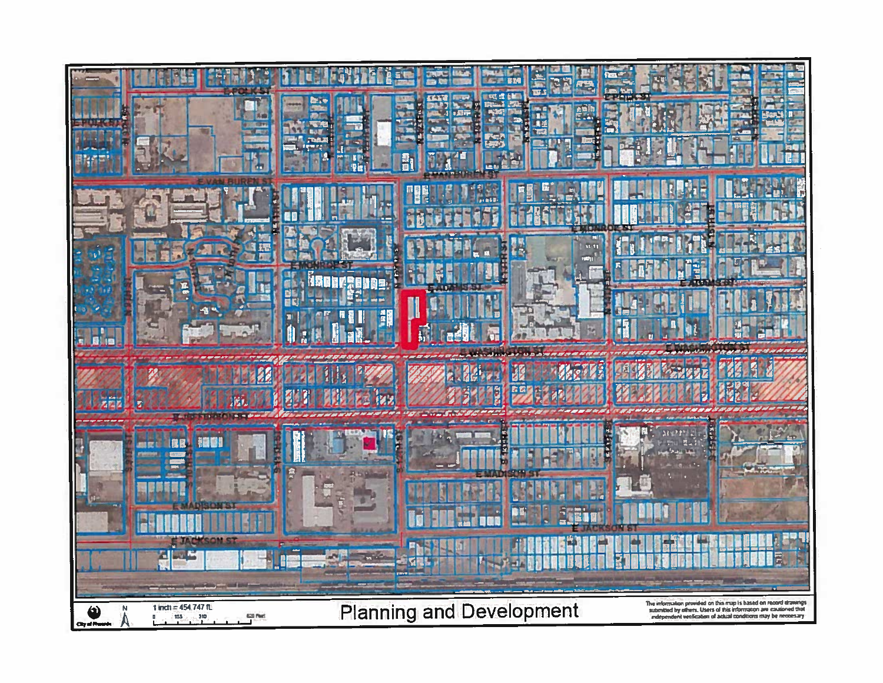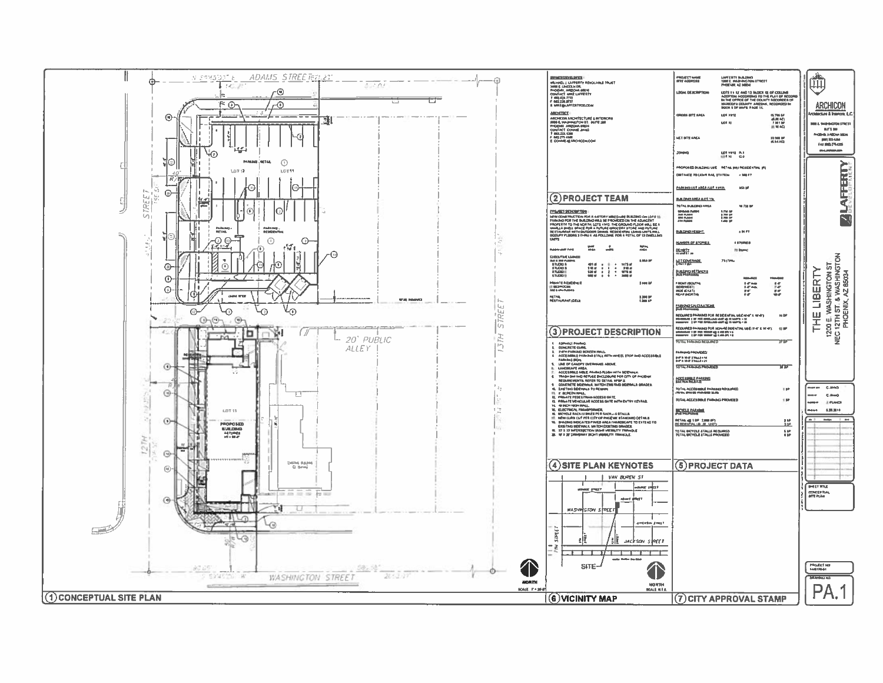